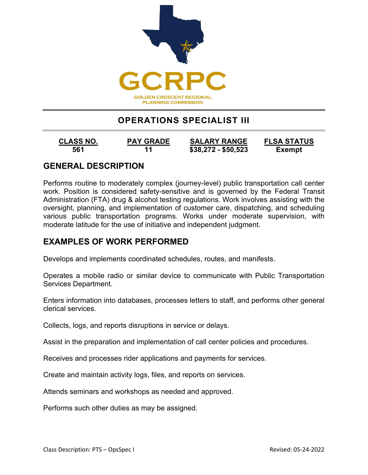

# **OPERATIONS SPECIALIST III**

**561 11 \$38,272 - \$50,523 Exempt**

**CLASS NO. PAY GRADE SALARY RANGE FLSA STATUS**

### **GENERAL DESCRIPTION**

Performs routine to moderately complex (journey-level) public transportation call center work. Position is considered safety-sensitive and is governed by the Federal Transit Administration (FTA) drug & alcohol testing regulations. Work involves assisting with the oversight, planning, and implementation of customer care, dispatching, and scheduling various public transportation programs. Works under moderate supervision, with moderate latitude for the use of initiative and independent judgment.

### **EXAMPLES OF WORK PERFORMED**

Develops and implements coordinated schedules, routes, and manifests.

Operates a mobile radio or similar device to communicate with Public Transportation Services Department.

Enters information into databases, processes letters to staff, and performs other general clerical services.

Collects, logs, and reports disruptions in service or delays.

Assist in the preparation and implementation of call center policies and procedures.

Receives and processes rider applications and payments for services.

Create and maintain activity logs, files, and reports on services.

Attends seminars and workshops as needed and approved.

Performs such other duties as may be assigned.